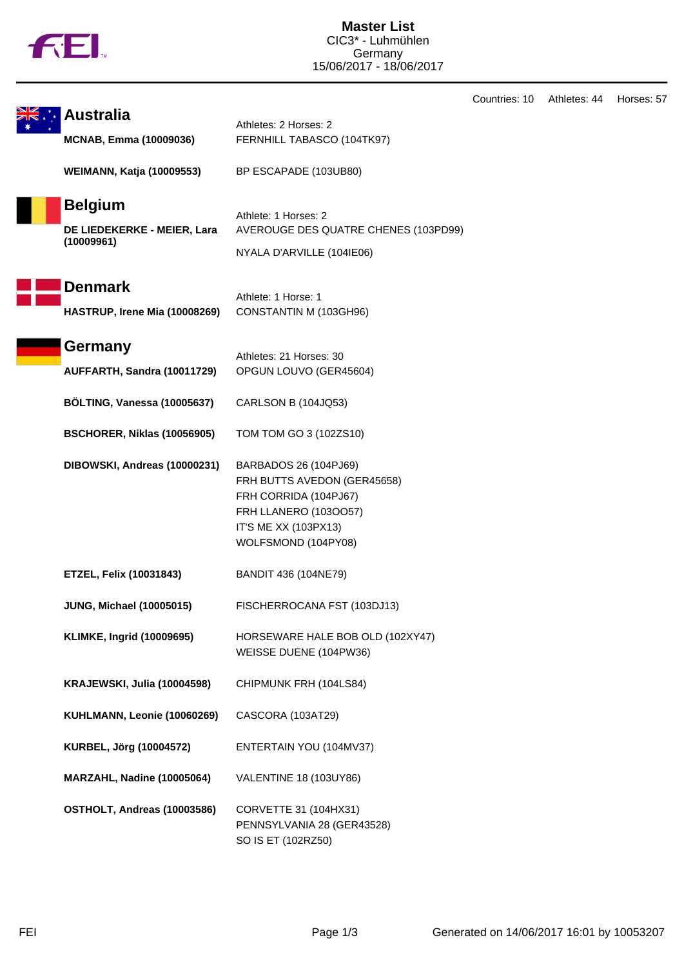|  | M |
|--|---|
|  |   |

**Master List** CIC3\* - Luhmühlen Germany 15/06/2017 - 18/06/2017

|                                  |                                      | Countries: 10 | Athletes: 44 | Horses: 57 |
|----------------------------------|--------------------------------------|---------------|--------------|------------|
| Australia                        | Athletes: 2 Horses: 2                |               |              |            |
| <b>MCNAB, Emma (10009036)</b>    | FERNHILL TABASCO (104TK97)           |               |              |            |
|                                  |                                      |               |              |            |
| <b>WEIMANN, Katja (10009553)</b> | BP ESCAPADE (103UB80)                |               |              |            |
|                                  |                                      |               |              |            |
| <b>Belgium</b>                   | Athlete: 1 Horses: 2                 |               |              |            |
| DE LIEDEKERKE - MEIER, Lara      | AVEROUGE DES QUATRE CHENES (103PD99) |               |              |            |
| (10009961)                       | NYALA D'ARVILLE (104IE06)            |               |              |            |
|                                  |                                      |               |              |            |
| <b>Denmark</b>                   |                                      |               |              |            |
|                                  | Athlete: 1 Horse: 1                  |               |              |            |
| HASTRUP, Irene Mia (10008269)    | CONSTANTIN M (103GH96)               |               |              |            |
|                                  |                                      |               |              |            |
| Germany                          | Athletes: 21 Horses: 30              |               |              |            |
| AUFFARTH, Sandra (10011729)      | OPGUN LOUVO (GER45604)               |               |              |            |
|                                  |                                      |               |              |            |
| BÖLTING, Vanessa (10005637)      | CARLSON B (104JQ53)                  |               |              |            |
|                                  |                                      |               |              |            |
| BSCHORER, Niklas (10056905)      | TOM TOM GO 3 (102ZS10)               |               |              |            |
| DIBOWSKI, Andreas (10000231)     | BARBADOS 26 (104PJ69)                |               |              |            |
|                                  | FRH BUTTS AVEDON (GER45658)          |               |              |            |
|                                  | FRH CORRIDA (104PJ67)                |               |              |            |
|                                  | FRH LLANERO (1030057)                |               |              |            |
|                                  | IT'S ME XX (103PX13)                 |               |              |            |
|                                  | WOLFSMOND (104PY08)                  |               |              |            |
|                                  |                                      |               |              |            |
| <b>ETZEL, Felix (10031843)</b>   | BANDIT 436 (104NE79)                 |               |              |            |
|                                  | FISCHERROCANA FST (103DJ13)          |               |              |            |
| <b>JUNG, Michael (10005015)</b>  |                                      |               |              |            |
| <b>KLIMKE, Ingrid (10009695)</b> | HORSEWARE HALE BOB OLD (102XY47)     |               |              |            |
|                                  | WEISSE DUENE (104PW36)               |               |              |            |
|                                  |                                      |               |              |            |
| KRAJEWSKI, Julia (10004598)      | CHIPMUNK FRH (104LS84)               |               |              |            |
|                                  |                                      |               |              |            |
| KUHLMANN, Leonie (10060269)      | CASCORA (103AT29)                    |               |              |            |
| KURBEL, Jörg (10004572)          | ENTERTAIN YOU (104MV37)              |               |              |            |
|                                  |                                      |               |              |            |
| MARZAHL, Nadine (10005064)       | VALENTINE 18 (103UY86)               |               |              |            |
|                                  |                                      |               |              |            |
| OSTHOLT, Andreas (10003586)      | CORVETTE 31 (104HX31)                |               |              |            |
|                                  | PENNSYLVANIA 28 (GER43528)           |               |              |            |
|                                  | SO IS ET (102RZ50)                   |               |              |            |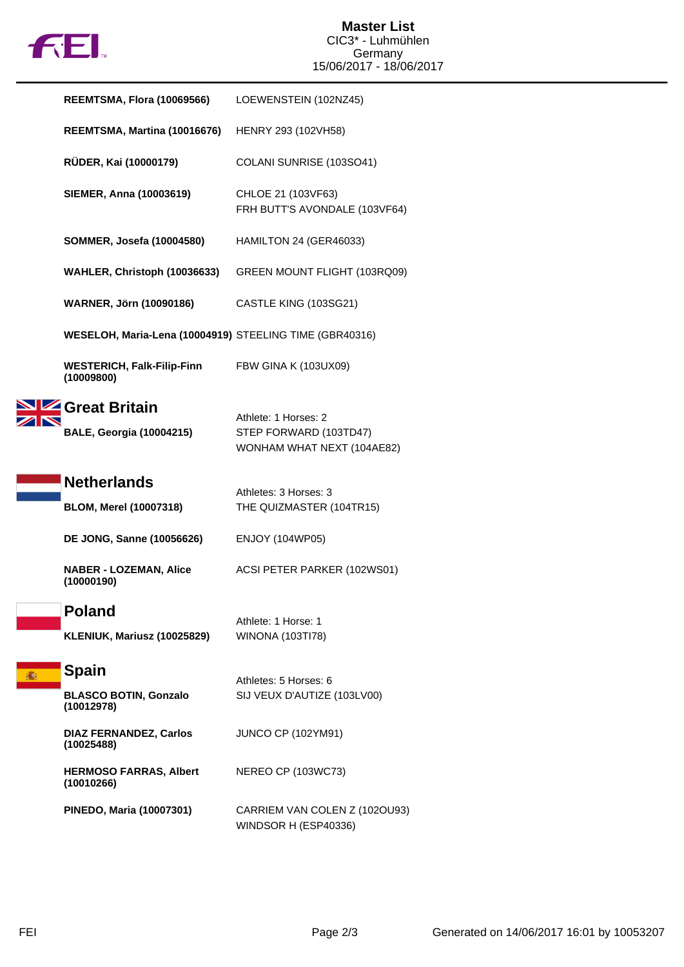

|   | <b>REEMTSMA, Flora (10069566)</b>                       | LOEWENSTEIN (102NZ45)                                                        |  |
|---|---------------------------------------------------------|------------------------------------------------------------------------------|--|
|   | REEMTSMA, Martina (10016676)                            | HENRY 293 (102VH58)                                                          |  |
|   | RÜDER, Kai (10000179)                                   | COLANI SUNRISE (103SO41)                                                     |  |
|   | <b>SIEMER, Anna (10003619)</b>                          | CHLOE 21 (103VF63)<br>FRH BUTT'S AVONDALE (103VF64)                          |  |
|   | <b>SOMMER, Josefa (10004580)</b>                        | HAMILTON 24 (GER46033)                                                       |  |
|   | WAHLER, Christoph (10036633)                            | GREEN MOUNT FLIGHT (103RQ09)                                                 |  |
|   | <b>WARNER, Jörn (10090186)</b>                          | CASTLE KING (103SG21)                                                        |  |
|   | WESELOH, Maria-Lena (10004919) STEELING TIME (GBR40316) |                                                                              |  |
|   | <b>WESTERICH, Falk-Filip-Finn</b><br>(10009800)         | <b>FBW GINA K (103UX09)</b>                                                  |  |
|   | Great Britain<br><b>BALE, Georgia (10004215)</b>        | Athlete: 1 Horses: 2<br>STEP FORWARD (103TD47)<br>WONHAM WHAT NEXT (104AE82) |  |
|   | <b>Netherlands</b>                                      | Athletes: 3 Horses: 3                                                        |  |
|   | <b>BLOM, Merel (10007318)</b>                           | THE QUIZMASTER (104TR15)                                                     |  |
|   | <b>DE JONG, Sanne (10056626)</b>                        | <b>ENJOY (104WP05)</b>                                                       |  |
|   | <b>NABER - LOZEMAN, Alice</b><br>(10000190)             | ACSI PETER PARKER (102WS01)                                                  |  |
|   | <b>Poland</b><br>KLENIUK, Mariusz (10025829)            | Athlete: 1 Horse: 1<br><b>WINONA (103TI78)</b>                               |  |
| 瀶 | <b>Spain</b>                                            | Athletes: 5 Horses: 6                                                        |  |
|   | <b>BLASCO BOTIN, Gonzalo</b><br>(10012978)              | SIJ VEUX D'AUTIZE (103LV00)                                                  |  |
|   | <b>DIAZ FERNANDEZ, Carlos</b><br>(10025488)             | <b>JUNCO CP (102YM91)</b>                                                    |  |
|   | <b>HERMOSO FARRAS, Albert</b><br>(10010266)             | NEREO CP (103WC73)                                                           |  |
|   | PINEDO, Maria (10007301)                                | CARRIEM VAN COLEN Z (1020U93)<br>WINDSOR H (ESP40336)                        |  |